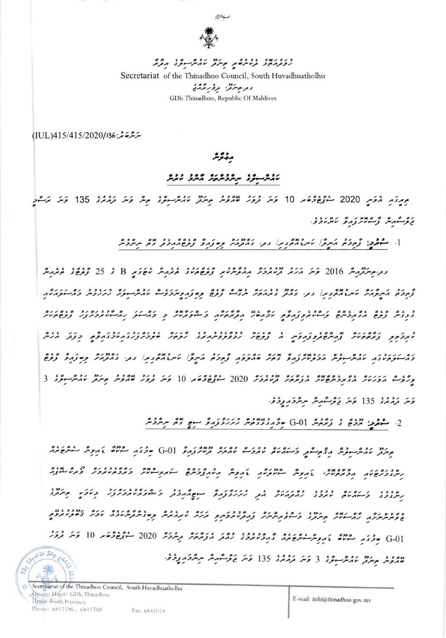

נגנגמני וניני קייני וליילי ובין וילי Secretariat of the Thinadhoo Council, South Huvadhuatholhu وقريم يترفرا فرقر مرمرق GDh. Thinadhoo, Republic Of Maldives

ىئر شرىخىنى: 1020/15/415/2020)

## مەنزىر

## لامتر الوفي المترومية المتروا المترم

جِهِرْدَمِ مُؤْسِرِ 2020 سَارْعُ دْحَة وَالْمُ تَرْوَرْ \$2.وشْر جِسْرَتْرْ بَارْشْ-وْرْدْ حِسْرٌ قَبْرٌ وَرْمَزْدْ 135 قَبْرٌ بَرَسْعِ גים מית הפיצוע ומיובי.

١. مشخص: تُرجِّدَة مَسِرَّةً السَّنَة مُقْرِيدًا وَمَنْ وَمُقْرَمَةً وَجَوَيْدِهُ وَوَجَعَيْدِهِ وَمَ سِتَرْوَش

دىر، مِتْرَقْرِيْتْرْ 2016 كَتْرْ مْرْيْرْ قْرْمْتْرْدْرْ مْ مْرَكْتْرْمْيْرْ وْمْوْجْعْدْ كْ مْ كَا كْ 25 كْرْوْجْ نْ كَيْرْمْتْر נפלם התנהלת שיתו הפציג זו זו באת זגום יות יום נוס נפונופילכל שהתייני ויוני כם להילו نيروكيو يعمونه ومقوق وكركس والمنع برودوس وبرده بالمرور والمنافق وكر المنظر ده سومند المره سوم المورد المده المدرد المركز ومركز المركز المسامع المراجع المراجع المركز المحرمة المركز ە ئۇرۇش مۇزىرى مۇمدەھىدە مەرمەدە «دەررى 2020 سۇۋۇھەر 10 كەنز قرۇز ھەدەم مەنزىق ئامەر سۇلا 3 ۇش ئەممۇ 135 كەش ئۇشمەم سەردە بولۇ

2. مشغر برده ، رَمَّهْ G-01 مِرَّدْ وَرَمَّدْ مِرْ رَمَرْ كَرُومَ مِنْ دَهْ مِرْ مَرْدُمْ

م سرد باره سور مرقع موقع می دارد و دوره دوره «×ورو می G-O) موفور من و بروش مورخ در ניתצלאפית הלאפשים בתפית המקלה להפית המהקלאפים המקפידות לאלדורנית לאטיבור בשבר האוריקה את המצים המוקדש באוריקה את המוקד האוריקה במוקדות בשבית המוקדות מבית צביבת מוקדות.<br>הקינו אוריקה את המוקד באוריקה באוריקה אוריקה מוקדות האוריקה מוקדות המוקדות מכל המוקדות המוקדות באוריקה G-01 ھۇيە سىنىڭ ئەرەپرىشىرى ئەرەبىدە ئەرەبىدە بەر ئۇترىر برىردىش 2020 سۇھ دەن 10 ئىر نرۇز ەردىد مەردە ئەمەر ئوگۇ 3 كەنز كەممۇ 135 كەنز يۈگەر ئەر ئەركەر ئەرگە.<br>ھەمرىس مەنزىر ئامەر ئومۇ 3 كەنز كەممۇ 135 كەنز يۈگۈشەر ئە ئەرگەر ئ